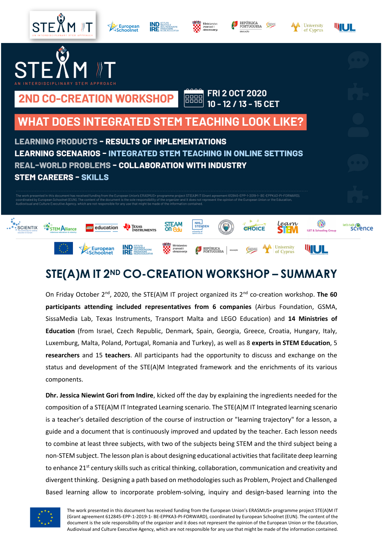

## **STE(A)M IT 2ND CO-CREATION WORKSHOP – SUMMARY**

On Friday October 2nd, 2020, the STE(A)M IT project organized its 2nd co-creation workshop. **The 60 participants attending included representatives from 6 companies** (Airbus Foundation, GSMA, SissaMedia Lab, Texas Instruments, Transport Malta and LEGO Education) and **14 Ministries of Education** (from Israel, Czech Republic, Denmark, Spain, Georgia, Greece, Croatia, Hungary, Italy, Luxemburg, Malta, Poland, Portugal, Romania and Turkey), as well as 8 **experts in STEM Education**, 5 **researchers** and 15 **teachers**. All participants had the opportunity to discuss and exchange on the status and development of the STE(A)M Integrated framework and the enrichments of its various components.

**Dhr. Jessica Niewint Gori from Indire**, kicked off the day by explaining the ingredients needed for the composition of a STE(A)M IT Integrated Learning scenario. The STE(A)M IT Integrated learning scenario is a teacher's detailed description of the course of instruction or "learning trajectory" for a lesson, a guide and a document that is continuously improved and updated by the teacher. Each lesson needs to combine at least three subjects, with two of the subjects being STEM and the third subject being a non-STEM subject. The lesson plan is about designing educational activities that facilitate deep learning to enhance 21<sup>st</sup> century skills such as critical thinking, collaboration, communication and creativity and divergent thinking. Designing a path based on methodologies such as Problem, Project and Challenged Based learning allow to incorporate problem-solving, inquiry and design-based learning into the

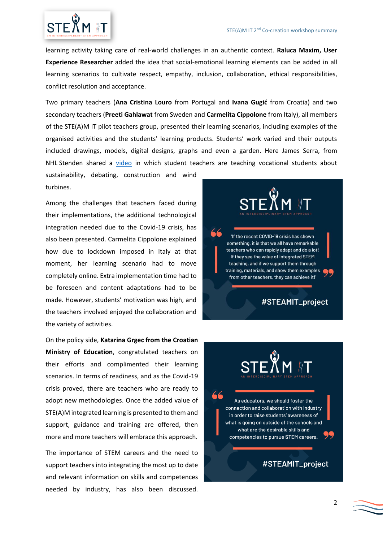

learning activity taking care of real-world challenges in an authentic context. **Raluca Maxim, User Experience Researcher** added the idea that social-emotional learning elements can be added in all learning scenarios to cultivate respect, empathy, inclusion, collaboration, ethical responsibilities, conflict resolution and acceptance.

Two primary teachers (**Ana Cristina Louro** from Portugal and **Ivana Gugić** from Croatia) and two secondary teachers (**Preeti Gahlawat** from Sweden and **Carmelita Cippolone** from Italy), all members of the STE(A)M IT pilot teachers group, presented their learning scenarios, including examples of the organised activities and the students' learning products. Students' work varied and their outputs included drawings, models, digital designs, graphs and even a garden. Here James Serra, from NHL Stenden shared a [video](https://vimeo.com/372982694) in which student teachers are teaching vocational students about

sustainability, debating, construction and wind turbines.

Among the challenges that teachers faced during their implementations, the additional technological integration needed due to the Covid-19 crisis, has also been presented. Carmelita Cippolone explained how due to lockdown imposed in Italy at that moment, her learning scenario had to move completely online. Extra implementation time had to be foreseen and content adaptations had to be made. However, students' motivation was high, and the teachers involved enjoyed the collaboration and the variety of activities.

On the policy side, **Katarina Grgec from the Croatian Ministry of Education**, congratulated teachers on their efforts and complimented their learning scenarios. In terms of readiness, and as the Covid-19 crisis proved, there are teachers who are ready to adopt new methodologies. Once the added value of STE(A)M integrated learning is presented to them and support, guidance and training are offered, then more and more teachers will embrace this approach.

The importance of STEM careers and the need to support teachers into integrating the most up to date and relevant information on skills and competences needed by industry, has also been discussed.



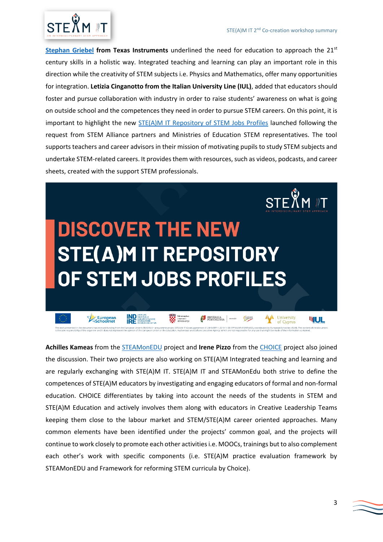

**[Stephan Griebel](https://www.t3europe.eu/en/t3-europe/edublogs/it-is-okay-to-rely-on-technology) from Texas Instruments** underlined the need for education to approach the 21st century skills in a holistic way. Integrated teaching and learning can play an important role in this direction while the creativity of STEM subjects i.e. Physics and Mathematics, offer many opportunities for integration. **Letizia Cinganotto from the Italian University Line (IUL)**, added that educators should foster and pursue collaboration with industry in order to raise students' awareness on what is going on outside school and the competences they need in order to pursue STEM careers. On this point, it is important to highlight the new **STE(A)M IT Repository of STEM Jobs Profiles** launched following the request from STEM Alliance partners and Ministries of Education STEM representatives. The tool supports teachers and career advisors in their mission of motivating pupils to study STEM subjects and undertake STEM-related careers. It provides them with resources, such as videos, podcasts, and career sheets, created with the support STEM professionals.



**Achilles Kameas** from the [STEAMonEDU](https://steamonedu.eu/) project and **Irene Pizzo** from the [CHOICE](https://www.euchoice.eu/) project also joined the discussion. Their two projects are also working on STE(A)M Integrated teaching and learning and are regularly exchanging with STE(A)M IT. STE(A)M IT and STEAMonEdu both strive to define the competences of STE(A)M educators by investigating and engaging educators of formal and non-formal education. CHOICE differentiates by taking into account the needs of the students in STEM and STE(A)M Education and actively involves them along with educators in Creative Leadership Teams keeping them close to the labour market and STEM/STE(A)M career oriented approaches. Many common elements have been identified under the projects' common goal, and the projects will continue to work closely to promote each other activities i.e. MOOCs, trainings but to also complement each other's work with specific components (i.e. STE(A)M practice evaluation framework by STEAMonEDU and Framework for reforming STEM curricula by Choice).